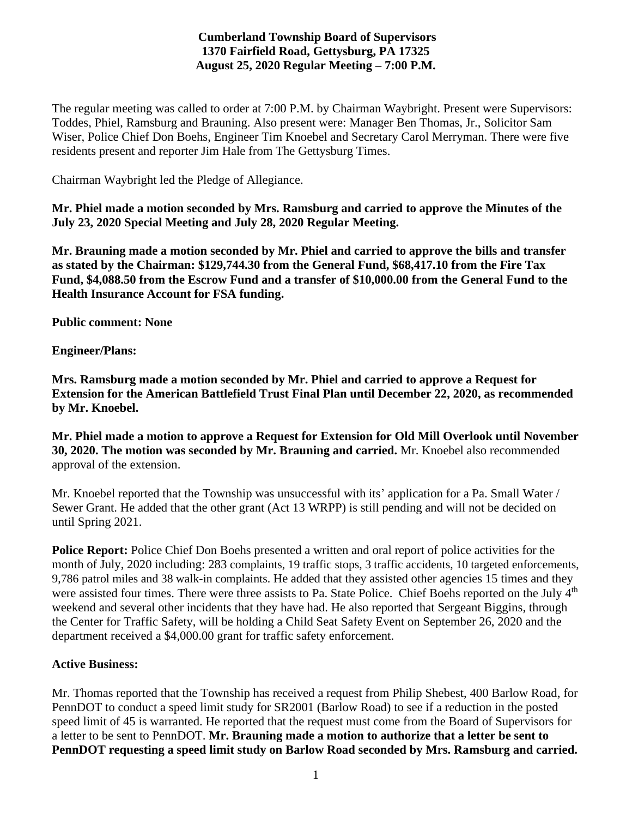# **Cumberland Township Board of Supervisors 1370 Fairfield Road, Gettysburg, PA 17325 August 25, 2020 Regular Meeting – 7:00 P.M.**

The regular meeting was called to order at 7:00 P.M. by Chairman Waybright. Present were Supervisors: Toddes, Phiel, Ramsburg and Brauning. Also present were: Manager Ben Thomas, Jr., Solicitor Sam Wiser, Police Chief Don Boehs, Engineer Tim Knoebel and Secretary Carol Merryman. There were five residents present and reporter Jim Hale from The Gettysburg Times.

Chairman Waybright led the Pledge of Allegiance.

**Mr. Phiel made a motion seconded by Mrs. Ramsburg and carried to approve the Minutes of the July 23, 2020 Special Meeting and July 28, 2020 Regular Meeting.**

**Mr. Brauning made a motion seconded by Mr. Phiel and carried to approve the bills and transfer as stated by the Chairman: \$129,744.30 from the General Fund, \$68,417.10 from the Fire Tax Fund, \$4,088.50 from the Escrow Fund and a transfer of \$10,000.00 from the General Fund to the Health Insurance Account for FSA funding.**

**Public comment: None**

**Engineer/Plans:**

**Mrs. Ramsburg made a motion seconded by Mr. Phiel and carried to approve a Request for Extension for the American Battlefield Trust Final Plan until December 22, 2020, as recommended by Mr. Knoebel.**

**Mr. Phiel made a motion to approve a Request for Extension for Old Mill Overlook until November 30, 2020. The motion was seconded by Mr. Brauning and carried.** Mr. Knoebel also recommended approval of the extension.

Mr. Knoebel reported that the Township was unsuccessful with its' application for a Pa. Small Water / Sewer Grant. He added that the other grant (Act 13 WRPP) is still pending and will not be decided on until Spring 2021.

**Police Report:** Police Chief Don Boehs presented a written and oral report of police activities for the month of July, 2020 including: 283 complaints, 19 traffic stops, 3 traffic accidents, 10 targeted enforcements, 9,786 patrol miles and 38 walk-in complaints. He added that they assisted other agencies 15 times and they were assisted four times. There were three assists to Pa. State Police. Chief Boehs reported on the July 4<sup>th</sup> weekend and several other incidents that they have had. He also reported that Sergeant Biggins, through the Center for Traffic Safety, will be holding a Child Seat Safety Event on September 26, 2020 and the department received a \$4,000.00 grant for traffic safety enforcement.

## **Active Business:**

Mr. Thomas reported that the Township has received a request from Philip Shebest, 400 Barlow Road, for PennDOT to conduct a speed limit study for SR2001 (Barlow Road) to see if a reduction in the posted speed limit of 45 is warranted. He reported that the request must come from the Board of Supervisors for a letter to be sent to PennDOT. **Mr. Brauning made a motion to authorize that a letter be sent to PennDOT requesting a speed limit study on Barlow Road seconded by Mrs. Ramsburg and carried.**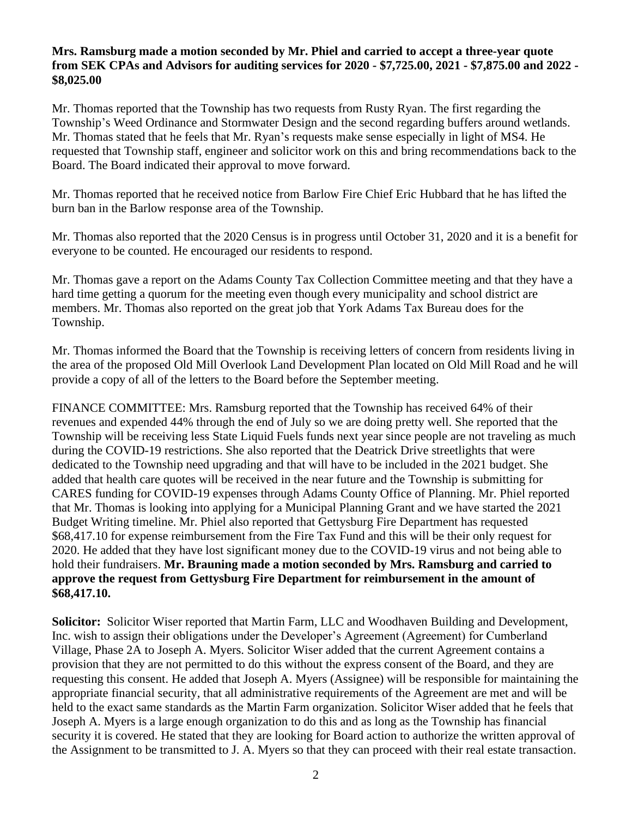#### **Mrs. Ramsburg made a motion seconded by Mr. Phiel and carried to accept a three-year quote from SEK CPAs and Advisors for auditing services for 2020 - \$7,725.00, 2021 - \$7,875.00 and 2022 - \$8,025.00**

Mr. Thomas reported that the Township has two requests from Rusty Ryan. The first regarding the Township's Weed Ordinance and Stormwater Design and the second regarding buffers around wetlands. Mr. Thomas stated that he feels that Mr. Ryan's requests make sense especially in light of MS4. He requested that Township staff, engineer and solicitor work on this and bring recommendations back to the Board. The Board indicated their approval to move forward.

Mr. Thomas reported that he received notice from Barlow Fire Chief Eric Hubbard that he has lifted the burn ban in the Barlow response area of the Township.

Mr. Thomas also reported that the 2020 Census is in progress until October 31, 2020 and it is a benefit for everyone to be counted. He encouraged our residents to respond.

Mr. Thomas gave a report on the Adams County Tax Collection Committee meeting and that they have a hard time getting a quorum for the meeting even though every municipality and school district are members. Mr. Thomas also reported on the great job that York Adams Tax Bureau does for the Township.

Mr. Thomas informed the Board that the Township is receiving letters of concern from residents living in the area of the proposed Old Mill Overlook Land Development Plan located on Old Mill Road and he will provide a copy of all of the letters to the Board before the September meeting.

FINANCE COMMITTEE: Mrs. Ramsburg reported that the Township has received 64% of their revenues and expended 44% through the end of July so we are doing pretty well. She reported that the Township will be receiving less State Liquid Fuels funds next year since people are not traveling as much during the COVID-19 restrictions. She also reported that the Deatrick Drive streetlights that were dedicated to the Township need upgrading and that will have to be included in the 2021 budget. She added that health care quotes will be received in the near future and the Township is submitting for CARES funding for COVID-19 expenses through Adams County Office of Planning. Mr. Phiel reported that Mr. Thomas is looking into applying for a Municipal Planning Grant and we have started the 2021 Budget Writing timeline. Mr. Phiel also reported that Gettysburg Fire Department has requested \$68,417.10 for expense reimbursement from the Fire Tax Fund and this will be their only request for 2020. He added that they have lost significant money due to the COVID-19 virus and not being able to hold their fundraisers. **Mr. Brauning made a motion seconded by Mrs. Ramsburg and carried to approve the request from Gettysburg Fire Department for reimbursement in the amount of \$68,417.10.**

**Solicitor:** Solicitor Wiser reported that Martin Farm, LLC and Woodhaven Building and Development, Inc. wish to assign their obligations under the Developer's Agreement (Agreement) for Cumberland Village, Phase 2A to Joseph A. Myers. Solicitor Wiser added that the current Agreement contains a provision that they are not permitted to do this without the express consent of the Board, and they are requesting this consent. He added that Joseph A. Myers (Assignee) will be responsible for maintaining the appropriate financial security, that all administrative requirements of the Agreement are met and will be held to the exact same standards as the Martin Farm organization. Solicitor Wiser added that he feels that Joseph A. Myers is a large enough organization to do this and as long as the Township has financial security it is covered. He stated that they are looking for Board action to authorize the written approval of the Assignment to be transmitted to J. A. Myers so that they can proceed with their real estate transaction.